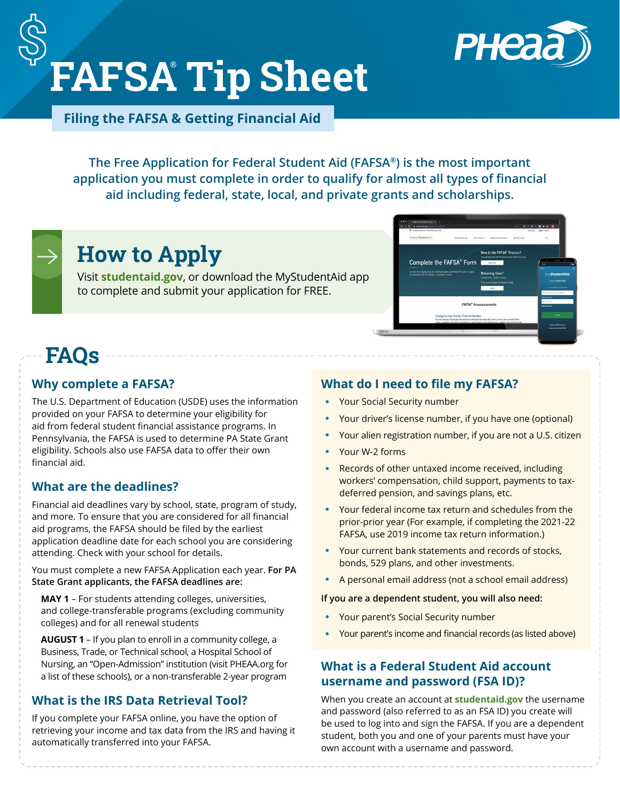

New to the FAFSA® F

# **FAFSA® Tip Sheet**

**Filing the FAFSA & Getting Financial Aid**

**The Free Application for Federal Student Aid (FAFSA®) is the most important application you must complete in order to qualify for almost all types of financial aid including federal, state, local, and private grants and scholarships.**



# **How to Apply**

Visit **[studentaid.gov](https://studentaid.gov/)**, or download the MyStudentAid app to complete and submit your application for FREE.

# **FAQs**

#### **Why complete a FAFSA?**

The U.S. Department of Education (USDE) uses the information provided on your FAFSA to determine your eligibility for aid from federal student financial assistance programs. In Pennsylvania, the FAFSA is used to determine PA State Grant eligibility. Schools also use FAFSA data to offer their own financial aid.

#### **What are the deadlines?**

Financial aid deadlines vary by school, state, program of study, and more. To ensure that you are considered for all financial aid programs, the FAFSA should be filed by the earliest application deadline date for each school you are considering attending. Check with your school for details.

You must complete a new FAFSA Application each year. **For PA State Grant applicants, the FAFSA deadlines are:**

**MAY 1** – For students attending colleges, universities, and college-transferable programs (excluding community colleges) and for all renewal students

**AUGUST 1** – If you plan to enroll in a community college, a Business, Trade, or Technical school, a Hospital School of Nursing, an "Open-Admission" institution (visit PHEAA.org for a list of these schools), or a non-transferable 2-year program

#### **What is the IRS Data Retrieval Tool?**

If you complete your FAFSA online, you have the option of retrieving your income and tax data from the IRS and having it automatically transferred into your FAFSA.

#### **What do I need to file my FAFSA?**

- Your Social Security number
- Your driver's license number, if you have one (optional)

Complete the FAFSA® Form

FAFSA<sup>®</sup> A

- Your alien registration number, if you are not a U.S. citizen
- Your W-2 forms
- Records of other untaxed income received, including workers' compensation, child support, payments to taxdeferred pension, and savings plans, etc.
- Your federal income tax return and schedules from the prior-prior year (For example, if completing the 2021-22 FAFSA, use 2019 income tax return information.)
- Your current bank statements and records of stocks, bonds, 529 plans, and other investments.
- A personal email address (not a school email address)

**If you are a dependent student, you will also need:**

- Your parent's Social Security number
- Your parent's income and financial records (as listed above)

#### **What is a Federal Student Aid account username and password (FSA ID)?**

When you create an account at **[studentaid.gov](https://studentaid.gov/)** the username and password (also referred to as an FSA ID) you create will be used to log into and sign the FAFSA. If you are a dependent student, both you and one of your parents must have your own account with a username and password.